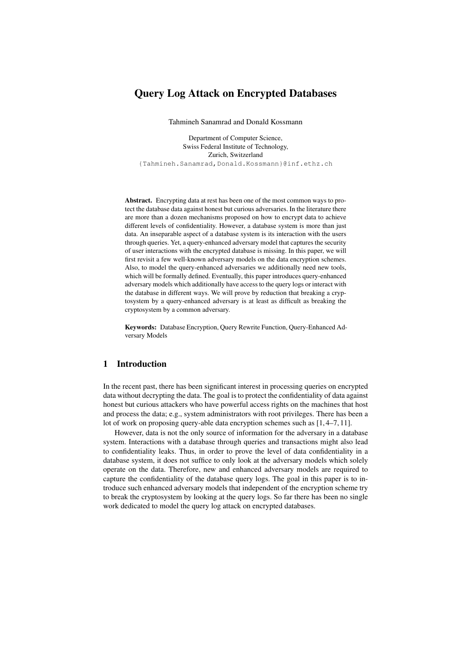# Query Log Attack on Encrypted Databases

Tahmineh Sanamrad and Donald Kossmann

Department of Computer Science, Swiss Federal Institute of Technology, Zurich, Switzerland {Tahmineh.Sanamrad,Donald.Kossmann}@inf.ethz.ch

Abstract. Encrypting data at rest has been one of the most common ways to protect the database data against honest but curious adversaries. In the literature there are more than a dozen mechanisms proposed on how to encrypt data to achieve different levels of confidentiality. However, a database system is more than just data. An inseparable aspect of a database system is its interaction with the users through queries. Yet, a query-enhanced adversary model that captures the security of user interactions with the encrypted database is missing. In this paper, we will first revisit a few well-known adversary models on the data encryption schemes. Also, to model the query-enhanced adversaries we additionally need new tools, which will be formally defined. Eventually, this paper introduces query-enhanced adversary models which additionally have access to the query logs or interact with the database in different ways. We will prove by reduction that breaking a cryptosystem by a query-enhanced adversary is at least as difficult as breaking the cryptosystem by a common adversary.

Keywords: Database Encryption, Query Rewrite Function, Query-Enhanced Adversary Models

# 1 Introduction

In the recent past, there has been significant interest in processing queries on encrypted data without decrypting the data. The goal is to protect the confidentiality of data against honest but curious attackers who have powerful access rights on the machines that host and process the data; e.g., system administrators with root privileges. There has been a lot of work on proposing query-able data encryption schemes such as [1, 4–7, 11].

However, data is not the only source of information for the adversary in a database system. Interactions with a database through queries and transactions might also lead to confidentiality leaks. Thus, in order to prove the level of data confidentiality in a database system, it does not suffice to only look at the adversary models which solely operate on the data. Therefore, new and enhanced adversary models are required to capture the confidentiality of the database query logs. The goal in this paper is to introduce such enhanced adversary models that independent of the encryption scheme try to break the cryptosystem by looking at the query logs. So far there has been no single work dedicated to model the query log attack on encrypted databases.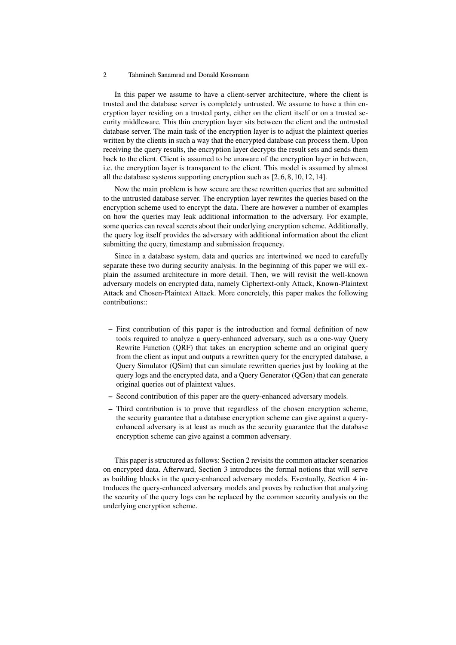In this paper we assume to have a client-server architecture, where the client is trusted and the database server is completely untrusted. We assume to have a thin encryption layer residing on a trusted party, either on the client itself or on a trusted security middleware. This thin encryption layer sits between the client and the untrusted database server. The main task of the encryption layer is to adjust the plaintext queries written by the clients in such a way that the encrypted database can process them. Upon receiving the query results, the encryption layer decrypts the result sets and sends them back to the client. Client is assumed to be unaware of the encryption layer in between, i.e. the encryption layer is transparent to the client. This model is assumed by almost all the database systems supporting encryption such as [2, 6, 8, 10, 12, 14].

Now the main problem is how secure are these rewritten queries that are submitted to the untrusted database server. The encryption layer rewrites the queries based on the encryption scheme used to encrypt the data. There are however a number of examples on how the queries may leak additional information to the adversary. For example, some queries can reveal secrets about their underlying encryption scheme. Additionally, the query log itself provides the adversary with additional information about the client submitting the query, timestamp and submission frequency.

Since in a database system, data and queries are intertwined we need to carefully separate these two during security analysis. In the beginning of this paper we will explain the assumed architecture in more detail. Then, we will revisit the well-known adversary models on encrypted data, namely Ciphertext-only Attack, Known-Plaintext Attack and Chosen-Plaintext Attack. More concretely, this paper makes the following contributions::

- First contribution of this paper is the introduction and formal definition of new tools required to analyze a query-enhanced adversary, such as a one-way Query Rewrite Function (QRF) that takes an encryption scheme and an original query from the client as input and outputs a rewritten query for the encrypted database, a Query Simulator (QSim) that can simulate rewritten queries just by looking at the query logs and the encrypted data, and a Query Generator (QGen) that can generate original queries out of plaintext values.
- Second contribution of this paper are the query-enhanced adversary models.
- Third contribution is to prove that regardless of the chosen encryption scheme, the security guarantee that a database encryption scheme can give against a queryenhanced adversary is at least as much as the security guarantee that the database encryption scheme can give against a common adversary.

This paper is structured as follows: Section 2 revisits the common attacker scenarios on encrypted data. Afterward, Section 3 introduces the formal notions that will serve as building blocks in the query-enhanced adversary models. Eventually, Section 4 introduces the query-enhanced adversary models and proves by reduction that analyzing the security of the query logs can be replaced by the common security analysis on the underlying encryption scheme.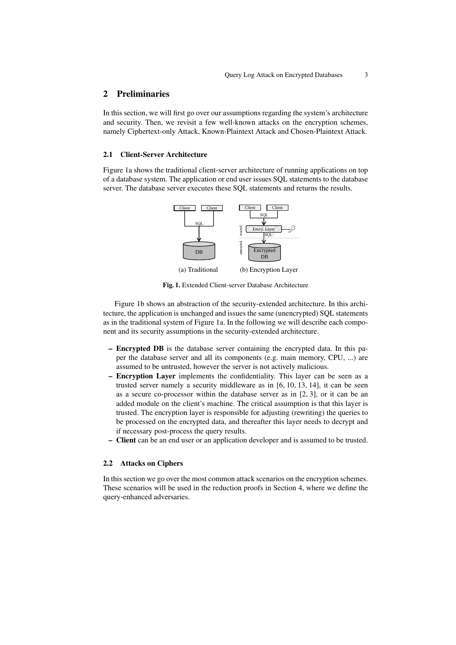### 2 Preliminaries

In this section, we will first go over our assumptions regarding the system's architecture and security. Then, we revisit a few well-known attacks on the encryption schemes, namely Ciphertext-only Attack, Known-Plaintext Attack and Chosen-Plaintext Attack.

#### 2.1 Client-Server Architecture

Figure 1a shows the traditional client-server architecture of running applications on top of a database system. The application or end user issues SQL statements to the database server. The database server executes these SQL statements and returns the results.



Fig. 1. Extended Client-server Database Architecture

Figure 1b shows an abstraction of the security-extended architecture. In this architecture, the application is unchanged and issues the same (unencrypted) SQL statements as in the traditional system of Figure 1a. In the following we will describe each component and its security assumptions in the security-extended architecture.

- Encrypted DB is the database server containing the encrypted data. In this paper the database server and all its components (e.g. main memory, CPU, ...) are assumed to be untrusted, however the server is not actively malicious.
- Encryption Layer implements the confidentiality. This layer can be seen as a trusted server namely a security middleware as in [6, 10, 13, 14], it can be seen as a secure co-processor within the database server as in [2, 3], or it can be an added module on the client's machine. The critical assumption is that this layer is trusted. The encryption layer is responsible for adjusting (rewriting) the queries to be processed on the encrypted data, and thereafter this layer needs to decrypt and if necessary post-process the query results.
- Client can be an end user or an application developer and is assumed to be trusted.

#### 2.2 Attacks on Ciphers

In this section we go over the most common attack scenarios on the encryption schemes. These scenarios will be used in the reduction proofs in Section 4, where we define the query-enhanced adversaries.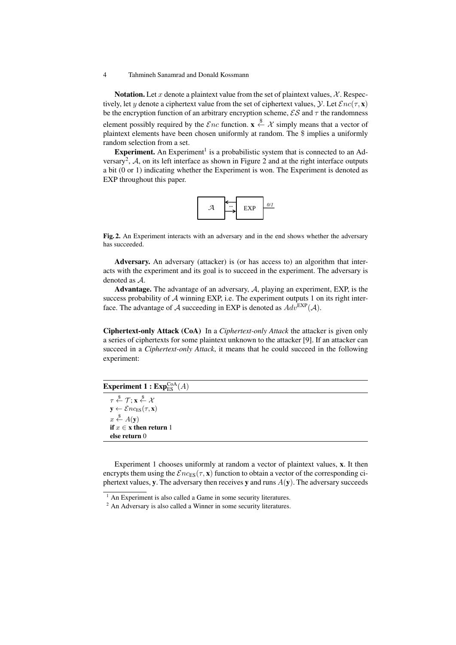Notation. Let x denote a plaintext value from the set of plaintext values,  $\mathcal{X}$ . Respectively, let y denote a ciphertext value from the set of ciphertext values,  $\mathcal{Y}$ . Let  $\mathcal{E}nc(\tau, \mathbf{x})$ be the encryption function of an arbitrary encryption scheme,  $\mathcal{ES}$  and  $\tau$  the randomness element possibly required by the  $\mathcal{E}nc$  function.  $\mathbf{x} \overset{\$}{\leftarrow} \mathcal{X}$  simply means that a vector of plaintext elements have been chosen uniformly at random. The \$ implies a uniformly random selection from a set.

**Experiment.** An Experiment<sup>1</sup> is a probabilistic system that is connected to an Adversary<sup>2</sup>, A, on its left interface as shown in Figure 2 and at the right interface outputs a bit (0 or 1) indicating whether the Experiment is won. The Experiment is denoted as EXP throughout this paper.



Fig. 2. An Experiment interacts with an adversary and in the end shows whether the adversary has succeeded.

Adversary. An adversary (attacker) is (or has access to) an algorithm that interacts with the experiment and its goal is to succeed in the experiment. The adversary is denoted as A.

Advantage. The advantage of an adversary, A, playing an experiment, EXP, is the success probability of  $A$  winning EXP, i.e. The experiment outputs 1 on its right interface. The advantage of A succeeding in EXP is denoted as  $Adv^{\text{EXP}}(\mathcal{A})$ .

Ciphertext-only Attack (CoA) In a *Ciphertext-only Attack* the attacker is given only a series of ciphertexts for some plaintext unknown to the attacker [9]. If an attacker can succeed in a *Ciphertext-only Attack*, it means that he could succeed in the following experiment:

**Experiment 1 :**  $\mathbf{Exp}_{ES}^{CoA}(A)$ 

 $\tau \overset{\$}{\leftarrow} \mathcal{T}; \mathbf{x} \overset{\$}{\leftarrow} \mathcal{X}$  $\mathbf{y} \leftarrow \mathcal{E}nc_{ES}(\tau, \mathbf{x})$  $x \stackrel{\$}{\leftarrow} A(\mathbf{y})$ if  $x \in$  **x** then return 1 else return 0

Experiment 1 chooses uniformly at random a vector of plaintext values, x. It then encrypts them using the  $\mathcal{E}nc_{ES}(\tau, \mathbf{x})$  function to obtain a vector of the corresponding ciphertext values, y. The adversary then receives y and runs  $A(y)$ . The adversary succeeds

 $<sup>1</sup>$  An Experiment is also called a Game in some security literatures.</sup>

<sup>&</sup>lt;sup>2</sup> An Adversary is also called a Winner in some security literatures.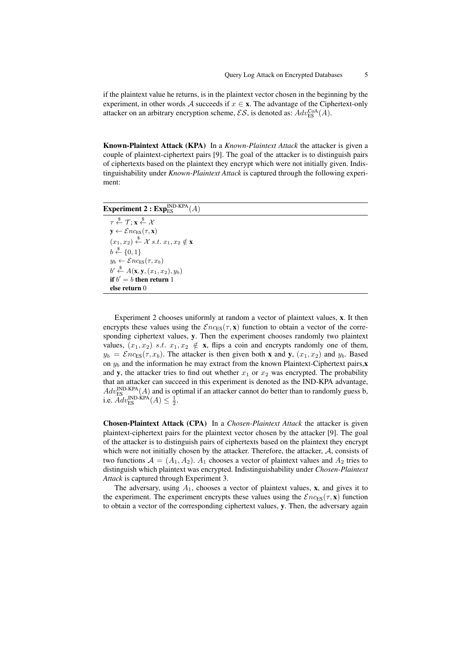if the plaintext value he returns, is in the plaintext vector chosen in the beginning by the experiment, in other words A succeeds if  $x \in \mathbf{x}$ . The advantage of the Ciphertext-only attacker on an arbitrary encryption scheme,  $\mathcal{ES}$ , is denoted as:  $Adv_{ES}^{CoA}(A)$ .

Known-Plaintext Attack (KPA) In a *Known-Plaintext Attack* the attacker is given a couple of plaintext-ciphertext pairs [9]. The goal of the attacker is to distinguish pairs of ciphertexts based on the plaintext they encrypt which were not initially given. Indistinguishability under *Known-Plaintext Attack* is captured through the following experiment:

**Experiment 2 :**  $\mathbf{Exp}_{\mathrm{ES}}^{\mathsf{IND}\text{-}\mathsf{KPA}}(A)$ 

 $\tau \overset{\$}{\leftarrow} \mathcal{T}; \mathbf{x} \overset{\$}{\leftarrow} \mathcal{X}$  $\mathbf{y} \leftarrow \mathcal{E}nc_{ES}(\tau, \mathbf{x})$  $(x_1, x_2) \stackrel{\$}{\leftarrow} \mathcal{X} \text{ s.t. } x_1, x_2 \notin \mathbf{X}$  $b \stackrel{\$}{\leftarrow} \{0,1\}$  $y_b \leftarrow \mathcal{E}nc_{ES}(\tau, x_b)$  $b' \stackrel{\$}{\leftarrow} A(\mathbf{x}, \mathbf{y}, (x_1, x_2), y_b)$ if  $b' = b$  then return 1 else return 0

Experiment 2 chooses uniformly at random a vector of plaintext values, x. It then encrypts these values using the  $\mathcal{E}nc_{ES}(\tau, x)$  function to obtain a vector of the corresponding ciphertext values, y. Then the experiment chooses randomly two plaintext values,  $(x_1, x_2)$  s.t.  $x_1, x_2 \notin \mathbf{x}$ , flips a coin and encrypts randomly one of them,  $y_b = \mathcal{E}nc_{ES}(\tau, x_b)$ . The attacker is then given both **x** and **y**,  $(x_1, x_2)$  and  $y_b$ . Based on  $y_b$  and the information he may extract from the known Plaintext-Ciphertext pairs, $\bf{x}$ and y, the attacker tries to find out whether  $x_1$  or  $x_2$  was encrypted. The probability that an attacker can succeed in this experiment is denoted as the IND-KPA advantage,  $Adv_{ES}^{IND-KPA}(A)$  and is optimal if an attacker cannot do better than to randomly guess b, i.e.  $\widehat{Adv}_{ES}^{IND-KPA}(A) \leq \frac{1}{2}$ .

Chosen-Plaintext Attack (CPA) In a *Chosen-Plaintext Attack* the attacker is given plaintext-ciphertext pairs for the plaintext vector chosen by the attacker [9]. The goal of the attacker is to distinguish pairs of ciphertexts based on the plaintext they encrypt which were not initially chosen by the attacker. Therefore, the attacker,  $A$ , consists of two functions  $A = (A_1, A_2)$ .  $A_1$  chooses a vector of plaintext values and  $A_2$  tries to distinguish which plaintext was encrypted. Indistinguishability under *Chosen-Plaintext Attack* is captured through Experiment 3.

The adversary, using  $A_1$ , chooses a vector of plaintext values, x, and gives it to the experiment. The experiment encrypts these values using the  $\mathcal{E}nc_{ES}(\tau, \mathbf{x})$  function to obtain a vector of the corresponding ciphertext values, y. Then, the adversary again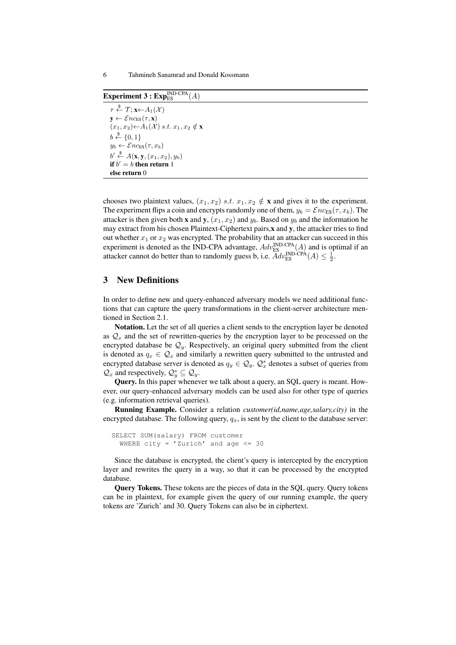**Experiment 3 :**  $\mathbf{Exp}_{ES}^{IND-CPA}(A)$ 

 $\tau \overset{\$}{\leftarrow} \mathcal{T}; \mathbf{x} \leftarrow A_1(\mathcal{X})$  $\mathbf{y} \leftarrow \mathcal{E}nc_{ES}(\tau, \mathbf{x})$  $(x_1, x_2) \leftarrow A_1(\mathcal{X}) \text{ s.t. } x_1, x_2 \notin \mathbf{x}$  $b \stackrel{\$}{\leftarrow} \{0,1\}$  $y_b \leftarrow \mathcal{E}nc_{ES}(\tau, x_b)$  $b' \stackrel{\$}{\leftarrow} A(\mathbf{x}, \mathbf{y}, (x_1, x_2), y_b)$ if  $b' = b$  then return 1 else return 0

chooses two plaintext values,  $(x_1, x_2)$  s.t.  $x_1, x_2 \notin \mathbf{x}$  and gives it to the experiment. The experiment flips a coin and encrypts randomly one of them,  $y_b = \mathcal{E}nc_{ES}(\tau, x_b)$ . The attacker is then given both **x** and **y**,  $(x_1, x_2)$  and  $y_b$ . Based on  $y_b$  and the information he may extract from his chosen Plaintext-Ciphertext pairs,x and y, the attacker tries to find out whether  $x_1$  or  $x_2$  was encrypted. The probability that an attacker can succeed in this experiment is denoted as the IND-CPA advantage,  $Adv_{ES}^{IND-CPA}(A)$  and is optimal if an attacker cannot do better than to randomly guess b, i.e.  $\overline{Ad}v_{\rm ES}^{\rm IND-CPA}(A) \leq \frac{1}{2}$ .

# 3 New Definitions

In order to define new and query-enhanced adversary models we need additional functions that can capture the query transformations in the client-server architecture mentioned in Section 2.1.

Notation. Let the set of all queries a client sends to the encryption layer be denoted as  $\mathcal{Q}_x$  and the set of rewritten-queries by the encryption layer to be processed on the encrypted database be  $\mathcal{Q}_v$ . Respectively, an original query submitted from the client is denoted as  $q_x \in \mathcal{Q}_x$  and similarly a rewritten query submitted to the untrusted and encrypted database server is denoted as  $q_y \in \mathcal{Q}_y$ .  $\mathcal{Q}_x^s$  denotes a subset of queries from  $\mathcal{Q}_x$  and respectively,  $\mathcal{Q}_y^s \subseteq \mathcal{Q}_y$ .

Query. In this paper whenever we talk about a query, an SQL query is meant. However, our query-enhanced adversary models can be used also for other type of queries (e.g. information retrieval queries).

Running Example. Consider a relation *customer(id,name,age,salary,city)* in the encrypted database. The following query,  $q_x$ , is sent by the client to the database server:

```
SELECT SUM(salary) FROM customer
WHERE city = ' Zurich' and age \leq 30
```
Since the database is encrypted, the client's query is intercepted by the encryption layer and rewrites the query in a way, so that it can be processed by the encrypted database.

Query Tokens. These tokens are the pieces of data in the SQL query. Query tokens can be in plaintext, for example given the query of our running example, the query tokens are 'Zurich' and 30. Query Tokens can also be in ciphertext.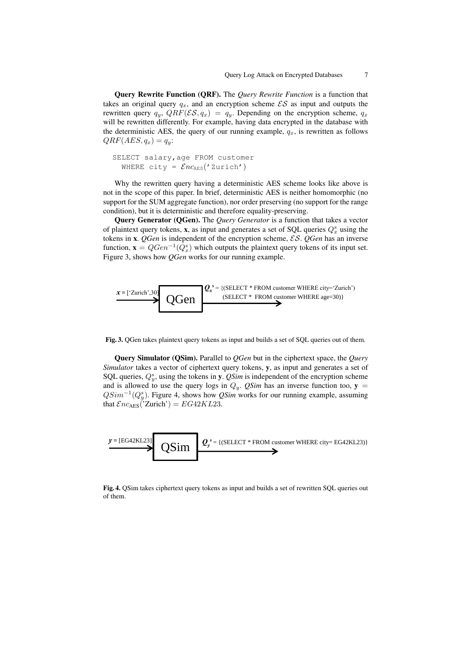Query Rewrite Function (QRF). The *Query Rewrite Function* is a function that takes an original query  $q_x$ , and an encryption scheme  $\mathcal{ES}$  as input and outputs the rewritten query  $q_y$ ,  $QRF(\mathcal{ES}, q_x) = q_y$ . Depending on the encryption scheme,  $q_x$ will be rewritten differently. For example, having data encrypted in the database with the deterministic AES, the query of our running example,  $q_x$ , is rewritten as follows  $QRF(AES, q_x) = q_y$ :

```
SELECT salary,age FROM customer
WHERE city = \mathcal{E}nc_{\text{AES}}('Zurich')
```
Why the rewritten query having a deterministic AES scheme looks like above is not in the scope of this paper. In brief, deterministic AES is neither homomorphic (no support for the SUM aggregate function), nor order preserving (no support for the range condition), but it is deterministic and therefore equality-preserving.

Query Generator (QGen). The *Query Generator* is a function that takes a vector of plaintext query tokens, x, as input and generates a set of SQL queries  $Q_x^s$  using the tokens in  $x$ . *QGen* is independent of the encryption scheme,  $\mathcal{ES}$ . *QGen* has an inverse function,  $\mathbf{x} = QGen^{-1}(Q_x^s)$  which outputs the plaintext query tokens of its input set. Figure 3, shows how *QGen* works for our running example.



Fig. 3. QGen takes plaintext query tokens as input and builds a set of SQL queries out of them.

Query Simulator (QSim). Parallel to *QGen* but in the ciphertext space, the *Query Simulator* takes a vector of ciphertext query tokens, y, as input and generates a set of SQL queries,  $Q_y^s$ , using the tokens in y. *QSim* is independent of the encryption scheme and is allowed to use the query logs in  $Q_y$ . *QSim* has an inverse function too,  $y =$  $QSim^{-1}(Q_y^s)$ . Figure 4, shows how *QSim* works for our running example, assuming that  $\mathcal{E}nc_{\text{AES}}$  ('Zurich') =  $EG42KL23$ .



Fig. 4. QSim takes ciphertext query tokens as input and builds a set of rewritten SQL queries out of them.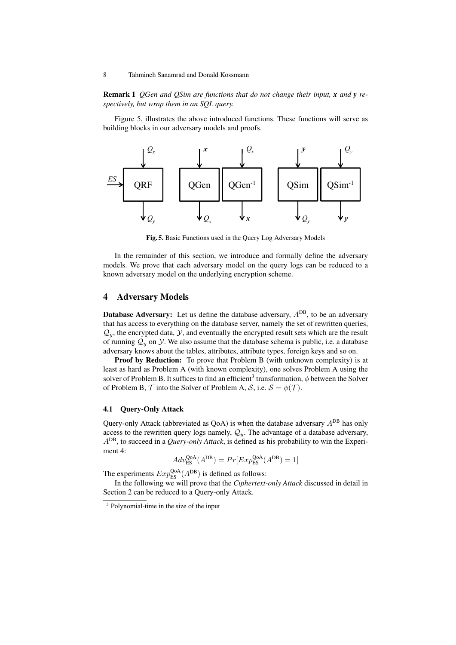Remark 1 *QGen and QSim are functions that do not change their input, x and y respectively, but wrap them in an SQL query.*

Figure 5, illustrates the above introduced functions. These functions will serve as building blocks in our adversary models and proofs.



Fig. 5. Basic Functions used in the Query Log Adversary Models

In the remainder of this section, we introduce and formally define the adversary models. We prove that each adversary model on the query logs can be reduced to a known adversary model on the underlying encryption scheme.

# 4 Adversary Models

**Database Adversary:** Let us define the database adversary,  $A^{DB}$ , to be an adversary that has access to everything on the database server, namely the set of rewritten queries,  $Q_y$ , the encrypted data,  $Y$ , and eventually the encrypted result sets which are the result of running  $\mathcal{Q}_y$  on  $\mathcal{Y}$ . We also assume that the database schema is public, i.e. a database adversary knows about the tables, attributes, attribute types, foreign keys and so on.

**Proof by Reduction:** To prove that Problem B (with unknown complexity) is at least as hard as Problem A (with known complexity), one solves Problem A using the solver of Problem B. It suffices to find an efficient<sup>3</sup> transformation,  $\phi$  between the Solver of Problem B,  $\mathcal T$  into the Solver of Problem A, S, i.e.  $\mathcal S = \phi(\mathcal T)$ .

### 4.1 Query-Only Attack

Query-only Attack (abbreviated as QoA) is when the database adversary  $A^{DB}$  has only access to the rewritten query logs namely,  $\mathcal{Q}_v$ . The advantage of a database adversary, ADB, to succeed in a *Query-only Attack*, is defined as his probability to win the Experiment 4:

$$
Adv_{ES}^{QoA}(A^{DB}) = Pr[Exp_{ES}^{QoA}(A^{DB}) = 1]
$$

The experiments  $Exp_{ES}^{QoA}(A^{DB})$  is defined as follows:

In the following we will prove that the *Ciphertext-only Attack* discussed in detail in Section 2 can be reduced to a Query-only Attack.

<sup>&</sup>lt;sup>3</sup> Polynomial-time in the size of the input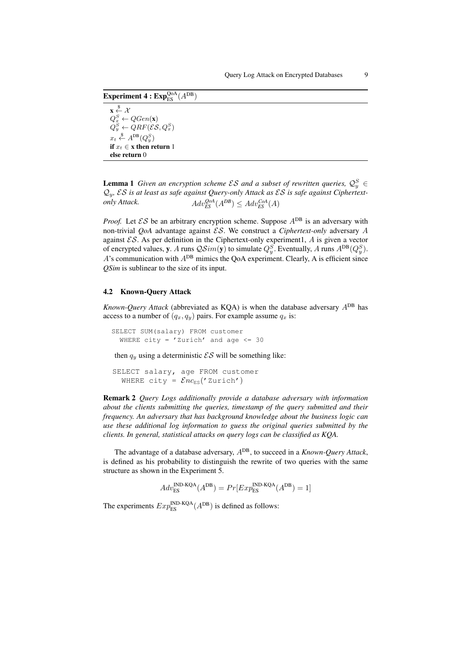Experiment 4 :  $Exp_{ES}^{QoA}(A^{DB})$ 

 $\mathbf{x} \overset{\$}{\leftarrow} \lambda$  $Q_x^S \leftarrow QGen(\mathbf{x})$  $Q_y^S \leftarrow QRF(\mathcal{ES},Q_x^S)$  $x_t \overset{\$}{\leftarrow} A^{\text{DB}}(Q_y^S)$ if  $x_t \in$  x then return 1 else return 0

**Lemma 1** Given an encryption scheme  $\mathcal{ES}$  and a subset of rewritten queries,  $\mathcal{Q}_y^S$   $\in$ Qy*,* ES *is at least as safe against Query-only Attack as* ES *is safe against Ciphertext* $only$ *Attack.*  $\frac{Q \circ A}{ES}(A^{DB}) \leq Adv_{ES}^{CoA}(A)$ 

*Proof.* Let  $\mathcal{ES}$  be an arbitrary encryption scheme. Suppose  $A^{DB}$  is an adversary with non-trivial *QoA* advantage against  $\mathcal{ES}$ . We construct a *Ciphertext-only* adversary *A* against  $\mathcal{ES}$ . As per definition in the Ciphertext-only experiment1, A is given a vector of encrypted values, y. A runs  $\mathcal{Q}Sim(y)$  to simulate  $Q_y^S$ . Eventually, A runs  $A^{DB}(Q_y^S)$ .  $A$ 's communication with  $A^{DB}$  mimics the QoA experiment. Clearly, A is efficient since *QSim* is sublinear to the size of its input.

### 4.2 Known-Query Attack

*Known-Query Attack* (abbreviated as KQA) is when the database adversary ADB has access to a number of  $(q_x, q_y)$  pairs. For example assume  $q_x$  is:

SELECT SUM(salary) FROM customer WHERE city =  $'$  Zurich' and age  $\leq$  30

then  $q_y$  using a deterministic  $\mathcal{ES}$  will be something like:

SELECT salary, age FROM customer WHERE city =  $\mathcal{E}nc_{ES}$  ('Zurich')

Remark 2 *Query Logs additionally provide a database adversary with information about the clients submitting the queries, timestamp of the query submitted and their frequency. An adversary that has background knowledge about the business logic can use these additional log information to guess the original queries submitted by the clients. In general, statistical attacks on query logs can be classified as KQA.*

The advantage of a database adversary, ADB, to succeed in a *Known-Query Attack*, is defined as his probability to distinguish the rewrite of two queries with the same structure as shown in the Experiment 5.

$$
Adv_{\mathrm{ES}}^{\mathrm{IND-KQA}}(A^{\mathrm{DB}}) = Pr[Exp_{\mathrm{ES}}^{\mathrm{IND-KQA}}(A^{\mathrm{DB}}) = 1]
$$

The experiments  $Exp_{ES}^{IND-KQA}(A^{DB})$  is defined as follows: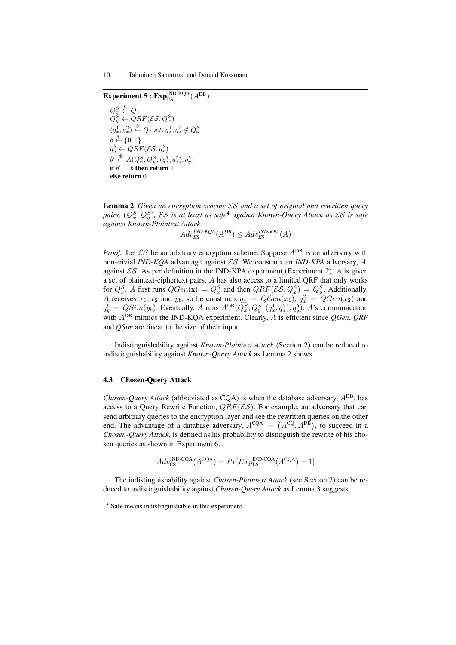**Experiment 5 :**  $\mathbf{Exp}_{ES}^{IND-KQA}(A^{DB})$ 

 $Q_x^S \overset{\$}{\leftarrow} Q_x$  $Q_y^S \leftarrow QRF(\mathcal{ES},Q_x^S)$  $(q_x^1, q_x^2) \stackrel{\$}{\leftarrow} Q_x \; s.t. \; q_x^1, q_x^2 \notin Q_x^S$  $b \stackrel{\$}{\leftarrow} \{0,1\}$  $q_y^b \leftarrow QRF(\mathcal{ES},q_x^b)$  $b' \stackrel{\$}{\leftarrow} A(Q_x^S, Q_y^S, (q_x^1, q_x^2), q_y^b)$ if  $b' = b$  then return 1 else return 0

Lemma 2 *Given an encryption scheme* ES *and a set of original and rewritten query* pairs,  $(Q_x^S, Q_y^S)$ , ES is at least as safe<sup>4</sup> against Known-Query Attack as ES is safe *against Known-Plaintext Attack.*

 $Adv_{ES}^{IND-KQA}(A^{DB}) \leq Adv_{ES}^{IND-KPA}(A)$ 

*Proof.* Let  $\mathcal{E} \mathcal{S}$  be an arbitrary encryption scheme. Suppose  $A^{DB}$  is an adversary with non-trivial *IND-KQA* advantage against  $\mathcal{ES}$ . We construct an *IND-KPA* adversary, A, against  $\mathcal{ES}$ . As per definition in the IND-KPA experiment (Experiment 2), A is given a set of plaintext-ciphertext pairs. A has also access to a limited QRF that only works for  $Q_x^S$ . A first runs  $QGen(\mathbf{x}) = Q_x^S$  and then  $QRF(\mathcal{ES}, Q_x^S) = Q_y^S$ . Additionally, A receives  $x_1, x_2$  and  $y_b$ , so he constructs  $q_x^1 = QGen(x_1), q_x^2 = QGen(x_2)$  and  $q_y^b = QSim(y_b)$ . Eventually, A runs  $A^{DB}(Q_x^S, Q_y^S, (q_x^1, q_x^2), q_y^b)$ . A's communication with ADB mimics the IND-KQA experiment. Clearly, A is efficient since *QGen*, *QRF* and *QSim* are linear to the size of their input.

Indistinguishability against *Known-Plaintext Attack* (Section 2) can be reduced to indistinguishability against *Known-Query Attack* as Lemma 2 shows.

#### 4.3 Chosen-Query Attack

*Chosen-Query Attack* (abbreviated as COA) is when the database adversary,  $A^{DB}$ , has access to a Query Rewrite Function,  $QRF(\mathcal{ES})$ . For example, an adversary that can send arbitrary queries to the encryption layer and see the rewritten queries on the other end. The advantage of a database adversary,  $A^{CQA} = (A^{CQ}, A^{DB})$ , to succeed in a *Chosen-Query Attack*, is defined as his probability to distinguish the rewrite of his chosen queries as shown in Experiment 6.

$$
Adv_{ES}^{IND\text{-}CQA}(A^{CQA}) = Pr[Exp_{ES}^{IND\text{-}CQA}(A^{CQA}) = 1]
$$

The indistinguishability against *Chosen-Plaintext Attack* (see Section 2) can be reduced to indistinguishability against *Chosen-Query Attack* as Lemma 3 suggests.

<sup>4</sup> Safe means indistinguishable in this experiment.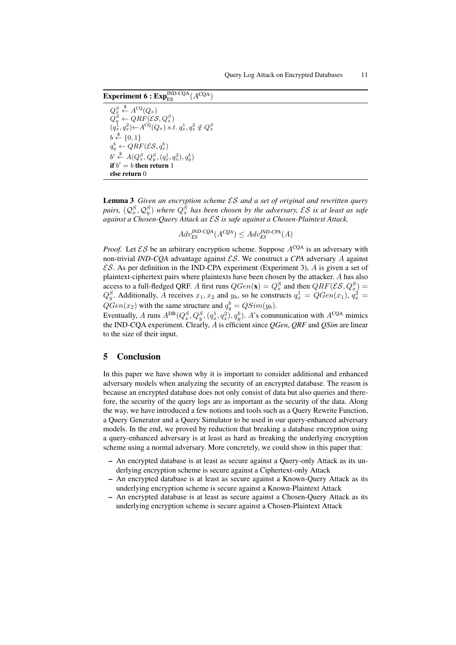**Experiment 6 :**  $\mathbf{Exp}_{\mathrm{ES}}^{\mathrm{IND}\text{-}\mathrm{CQA}}(A^{\mathrm{CQA}})$ 

 $Q_x^S \overset{\$}{\leftarrow} A^{\text{CQ}}(Q_x)$  $Q_y^S \leftarrow QRF(\mathcal{ES},Q_x^S)$  $(q_x^1, q_x^2) \leftarrow A^{CQ}(Q_x) \; s.t. \; q_x^1, q_x^2 \notin Q_x^S$  $b \stackrel{\$}{\leftarrow} \{0,1\}$  $q_y^b \leftarrow QRF(\mathcal{ES},q_x^b)$  $b' \stackrel{\$}{\leftarrow} A(Q_x^S, Q_y^S, (q_x^1, q_x^2), q_y^b)$ if  $b' = b$  then return 1 else return 0

Lemma 3 *Given an encryption scheme* ES *and a set of original and rewritten query* pairs,  $(\mathcal{Q}_x^S, \mathcal{Q}_y^S)$  where  $Q_x^S$  has been chosen by the adversary,  $\mathcal{ES}$  is at least as safe *against a Chosen-Query Attack as* ES *is safe against a Chosen-Plaintext Attack.*

 $Adv_{ES}^{IND\text{-}CQA}(A^{CQA}) \leq Adv_{ES}^{IND\text{-}CPA}(A)$ 

*Proof.* Let  $\mathcal{ES}$  be an arbitrary encryption scheme. Suppose  $A^{CQA}$  is an adversary with non-trivial *IND-CQA* advantage against  $\mathcal{ES}$ . We construct a *CPA* adversary *A* against  $\mathcal{ES}.$  As per definition in the IND-CPA experiment (Experiment 3), A is given a set of plaintext-ciphertext pairs where plaintexts have been chosen by the attacker. A has also access to a full-fledged QRF. A first runs  $QGen(\mathbf{x}) = Q_x^S$  and then  $QRF(\mathcal{ES},Q_x^S) =$  $Q_y^S$ . Additionally, A receives  $x_1, x_2$  and  $y_b$ , so he constructs  $q_x^1 = QGen(x_1), q_x^2 =$  $QGen(x_2)$  with the same structure and  $q_y^b = QSim(y_b)$ .

Eventually, A runs  $A^{DB}(Q_x^S, Q_y^S, (q_x^1, q_x^2), q_y^b)$ . A's communication with  $A^{CQA}$  mimics the IND-CQA experiment. Clearly, A is efficient since *QGen*, *QRF* and *QSim* are linear to the size of their input.

### 5 Conclusion

In this paper we have shown why it is important to consider additional and enhanced adversary models when analyzing the security of an encrypted database. The reason is because an encrypted database does not only consist of data but also queries and therefore, the security of the query logs are as important as the security of the data. Along the way, we have introduced a few notions and tools such as a Query Rewrite Function, a Query Generator and a Query Simulator to be used in our query-enhanced adversary models. In the end, we proved by reduction that breaking a database encryption using a query-enhanced adversary is at least as hard as breaking the underlying encryption scheme using a normal adversary. More concretely, we could show in this paper that:

- An encrypted database is at least as secure against a Query-only Attack as its underlying encryption scheme is secure against a Ciphertext-only Attack
- An encrypted database is at least as secure against a Known-Query Attack as its underlying encryption scheme is secure against a Known-Plaintext Attack
- An encrypted database is at least as secure against a Chosen-Query Attack as its underlying encryption scheme is secure against a Chosen-Plaintext Attack